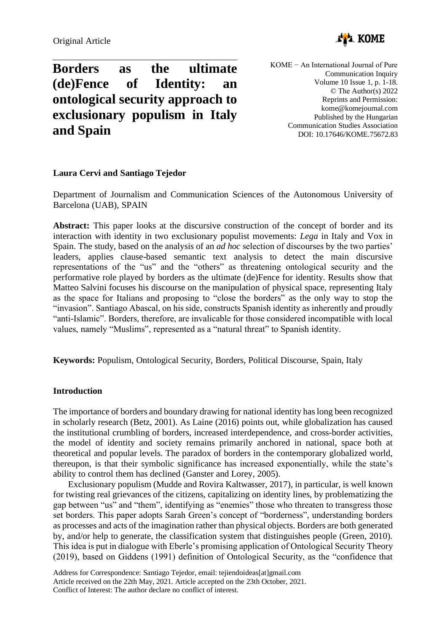

# **Borders as the ultimate (de)Fence of Identity: an ontological security approach to exclusionary populism in Italy and Spain**

KOME − An International Journal of Pure Communication Inquiry Volume 10 Issue 1, p. 1-18. © The Author(s) 2022 Reprints and Permission: kome@komejournal.com Published by the Hungarian Communication Studies Association DOI: 10.17646/KOME.75672.83

## **Laura Cervi and Santiago Tejedor**

Department of Journalism and Communication Sciences of the Autonomous University of Barcelona (UAB), SPAIN

**Abstract:** This paper looks at the discursive construction of the concept of border and its interaction with identity in two exclusionary populist movements: *Lega* in Italy and Vox in Spain. The study, based on the analysis of an *ad hoc* selection of discourses by the two parties' leaders, applies clause-based semantic text analysis to detect the main discursive representations of the "us" and the "others" as threatening ontological security and the performative role played by borders as the ultimate (de)Fence for identity. Results show that Matteo Salvini focuses his discourse on the manipulation of physical space, representing Italy as the space for Italians and proposing to "close the borders" as the only way to stop the "invasion". Santiago Abascal, on his side, constructs Spanish identity as inherently and proudly "anti-Islamic". Borders, therefore, are invalicable for those considered incompatible with local values, namely "Muslims", represented as a "natural threat" to Spanish identity.

**Keywords:** Populism, Ontological Security, Borders, Political Discourse, Spain, Italy

# **Introduction**

The importance of borders and boundary drawing for national identity has long been recognized in scholarly research (Betz, 2001). As Laine (2016) points out, while globalization has caused the institutional crumbling of borders, increased interdependence, and cross-border activities, the model of identity and society remains primarily anchored in national, space both at theoretical and popular levels. The paradox of borders in the contemporary globalized world, thereupon, is that their symbolic significance has increased exponentially, while the state's ability to control them has declined (Ganster and Lorey, 2005).

Exclusionary populism (Mudde and Rovira Kaltwasser, 2017), in particular, is well known for twisting real grievances of the citizens, capitalizing on identity lines, by problematizing the gap between "us" and "them", identifying as "enemies" those who threaten to transgress those set borders. This paper adopts Sarah Green's concept of "borderness", understanding borders as processes and acts of the imagination rather than physical objects. Borders are both generated by, and/or help to generate, the classification system that distinguishes people (Green, 2010). This idea is put in dialogue with Eberle's promising application of Ontological Security Theory (2019), based on Giddens (1991) definition of Ontological Security, as the "confidence that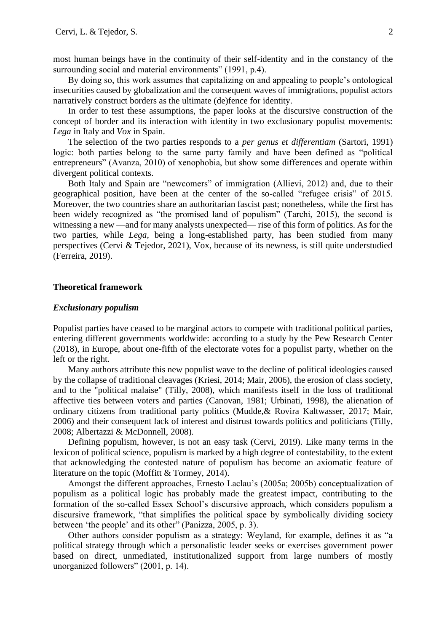most human beings have in the continuity of their self-identity and in the constancy of the surrounding social and material environments" (1991, p.4).

By doing so, this work assumes that capitalizing on and appealing to people's ontological insecurities caused by globalization and the consequent waves of immigrations, populist actors narratively construct borders as the ultimate (de)fence for identity.

In order to test these assumptions, the paper looks at the discursive construction of the concept of border and its interaction with identity in two exclusionary populist movements: *Lega* in Italy and *Vox* in Spain.

The selection of the two parties responds to a *per genus et differentiam* (Sartori, 1991) logic: both parties belong to the same party family and have been defined as "political entrepreneurs" (Avanza, 2010) of xenophobia, but show some differences and operate within divergent political contexts.

Both Italy and Spain are "newcomers" of immigration (Allievi, 2012) and, due to their geographical position, have been at the center of the so-called "refugee crisis" of 2015. Moreover, the two countries share an authoritarian fascist past; nonetheless, while the first has been widely recognized as "the promised land of populism" (Tarchi, 2015), the second is witnessing a new —and for many analysts unexpected— rise of this form of politics. As for the two parties, while *Lega*, being a long-established party, has been studied from many perspectives (Cervi & Tejedor, 2021), Vox, because of its newness, is still quite understudied (Ferreira, 2019).

## **Theoretical framework**

## *Exclusionary populism*

Populist parties have ceased to be marginal actors to compete with traditional political parties, entering different governments worldwide: according to a study by the Pew Research Center (2018), in Europe, about one-fifth of the electorate votes for a populist party, whether on the left or the right.

Many authors attribute this new populist wave to the decline of political ideologies caused by the collapse of traditional cleavages (Kriesi, 2014; Mair, 2006), the erosion of class society, and to the "political malaise" (Tilly, 2008), which manifests itself in the loss of traditional affective ties between voters and parties (Canovan, 1981; Urbinati, 1998), the alienation of ordinary citizens from traditional party politics (Mudde,& Rovira Kaltwasser, 2017; Mair, 2006) and their consequent lack of interest and distrust towards politics and politicians (Tilly, 2008; Albertazzi & McDonnell, 2008).

Defining populism, however, is not an easy task (Cervi, 2019). Like many terms in the lexicon of political science, populism is marked by a high degree of contestability, to the extent that acknowledging the contested nature of populism has become an axiomatic feature of literature on the topic (Moffitt & Tormey, 2014).

Amongst the different approaches, Ernesto Laclau's (2005a; 2005b) conceptualization of populism as a political logic has probably made the greatest impact, contributing to the formation of the so-called Essex School's discursive approach, which considers populism a discursive framework, "that simplifies the political space by symbolically dividing society between 'the people' and its other" (Panizza, 2005, p. 3).

Other authors consider populism as a strategy: Weyland, for example, defines it as "a political strategy through which a personalistic leader seeks or exercises government power based on direct, unmediated, institutionalized support from large numbers of mostly unorganized followers" (2001, p. 14).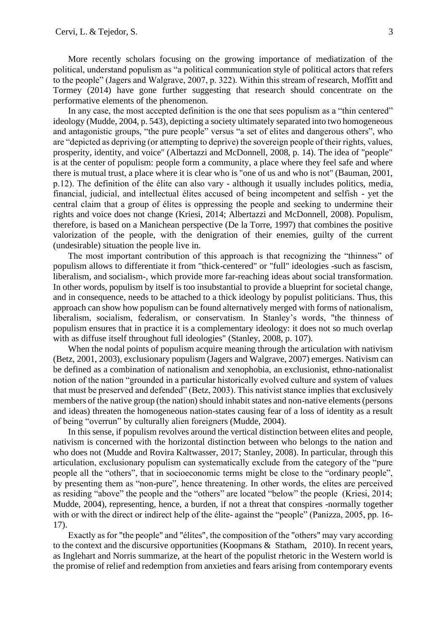More recently scholars focusing on the growing importance of mediatization of the political, understand populism as "a political communication style of political actors that refers to the people" (Jagers and Walgrave, 2007, p. 322). Within this stream of research, Moffitt and Tormey (2014) have gone further suggesting that research should concentrate on the performative elements of the phenomenon.

In any case, the most accepted definition is the one that sees populism as a "thin centered" ideology (Mudde, 2004, p. 543), depicting a society ultimately separated into two homogeneous and antagonistic groups, "the pure people" versus "a set of elites and dangerous others", who are "depicted as depriving (or attempting to deprive) the sovereign people of their rights, values, prosperity, identity, and voice" (Albertazzi and McDonnell, 2008, p. 14). The idea of "people" is at the center of populism: people form a community, a place where they feel safe and where there is mutual trust, a place where it is clear who is "one of us and who is not" (Bauman, 2001, p.12). The definition of the élite can also vary - although it usually includes politics, media, financial, judicial, and intellectual élites accused of being incompetent and selfish - yet the central claim that a group of élites is oppressing the people and seeking to undermine their rights and voice does not change (Kriesi, 2014; Albertazzi and McDonnell, 2008). Populism, therefore, is based on a Manichean perspective (De la Torre, 1997) that combines the positive valorization of the people, with the denigration of their enemies, guilty of the current (undesirable) situation the people live in.

The most important contribution of this approach is that recognizing the "thinness" of populism allows to differentiate it from "thick-centered" or "full" ideologies -such as fascism, liberalism, and socialism-, which provide more far-reaching ideas about social transformation. In other words, populism by itself is too insubstantial to provide a blueprint for societal change, and in consequence, needs to be attached to a thick ideology by populist politicians. Thus, this approach can show how populism can be found alternatively merged with forms of nationalism, liberalism, socialism, federalism, or conservatism. In Stanley's words, "the thinness of populism ensures that in practice it is a complementary ideology: it does not so much overlap with as diffuse itself throughout full ideologies" (Stanley, 2008, p. 107).

When the nodal points of populism acquire meaning through the articulation with nativism (Betz, 2001, 2003), exclusionary populism (Jagers and Walgrave, 2007) emerges. Nativism can be defined as a combination of nationalism and xenophobia, an exclusionist, ethno-nationalist notion of the nation "grounded in a particular historically evolved culture and system of values that must be preserved and defended" (Betz, 2003). This nativist stance implies that exclusively members of the native group (the nation) should inhabit states and non-native elements (persons and ideas) threaten the homogeneous nation-states causing fear of a loss of identity as a result of being "overrun" by culturally alien foreigners (Mudde, 2004).

In this sense, if populism revolves around the vertical distinction between elites and people, nativism is concerned with the horizontal distinction between who belongs to the nation and who does not (Mudde and Rovira Kaltwasser, 2017; Stanley, 2008). In particular, through this articulation, exclusionary populism can systematically exclude from the category of the "pure people all the "others", that in socioeconomic terms might be close to the "ordinary people", by presenting them as "non-pure", hence threatening. In other words, the elites are perceived as residing "above" the people and the "others" are located "below" the people (Kriesi, 2014; Mudde, 2004), representing, hence, a burden, if not a threat that conspires -normally together with or with the direct or indirect help of the élite- against the "people" (Panizza, 2005, pp. 16-17).

Exactly as for "the people" and "élites", the composition of the "others" may vary according to the context and the discursive opportunities (Koopmans & Statham, 2010). In recent years, as Inglehart and Norris summarize, at the heart of the populist rhetoric in the Western world is the promise of relief and redemption from anxieties and fears arising from contemporary events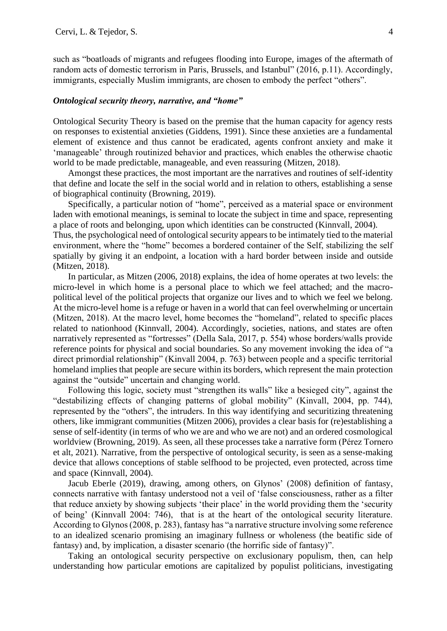such as "boatloads of migrants and refugees flooding into Europe, images of the aftermath of random acts of domestic terrorism in Paris, Brussels, and Istanbul" (2016, p.11). Accordingly, immigrants, especially Muslim immigrants, are chosen to embody the perfect "others".

## *Ontological security theory, narrative, and "home"*

Ontological Security Theory is based on the premise that the human capacity for agency rests on responses to existential anxieties (Giddens, 1991). Since these anxieties are a fundamental element of existence and thus cannot be eradicated, agents confront anxiety and make it 'manageable' through routinized behavior and practices, which enables the otherwise chaotic world to be made predictable, manageable, and even reassuring (Mitzen, 2018).

Amongst these practices, the most important are the narratives and routines of self-identity that define and locate the self in the social world and in relation to others, establishing a sense of biographical continuity (Browning, 2019).

Specifically, a particular notion of "home", perceived as a material space or environment laden with emotional meanings, is seminal to locate the subject in time and space, representing a place of roots and belonging, upon which identities can be constructed (Kinnvall, 2004). Thus, the psychological need of ontological security appears to be intimately tied to the material

environment, where the "home" becomes a bordered container of the Self, stabilizing the self spatially by giving it an endpoint, a location with a hard border between inside and outside (Mitzen, 2018).

In particular, as Mitzen (2006, 2018) explains, the idea of home operates at two levels: the micro-level in which home is a personal place to which we feel attached; and the macropolitical level of the political projects that organize our lives and to which we feel we belong. At the micro-level home is a refuge or haven in a world that can feel overwhelming or uncertain (Mitzen, 2018). At the macro level, home becomes the "homeland", related to specific places related to nationhood (Kinnvall, 2004). Accordingly, societies, nations, and states are often narratively represented as "fortresses" (Della Sala, 2017, p. 554) whose borders/walls provide reference points for physical and social boundaries. So any movement invoking the idea of "a direct primordial relationship" (Kinvall 2004, p. 763) between people and a specific territorial homeland implies that people are secure within its borders, which represent the main protection against the "outside" uncertain and changing world.

Following this logic, society must "strengthen its walls" like a besieged city", against the "destabilizing effects of changing patterns of global mobility" (Kinvall, 2004, pp. 744), represented by the "others", the intruders. In this way identifying and securitizing threatening others, like immigrant communities (Mitzen 2006), provides a clear basis for (re)establishing a sense of self-identity (in terms of who we are and who we are not) and an ordered cosmological worldview (Browning, 2019). As seen, all these processes take a narrative form (Pérez Tornero et alt, 2021). Narrative, from the perspective of ontological security, is seen as a sense-making device that allows conceptions of stable selfhood to be projected, even protected, across time and space (Kinnvall, 2004).

Jacub Eberle (2019), drawing, among others, on Glynos' (2008) definition of fantasy, connects narrative with fantasy understood not a veil of 'false consciousness, rather as a filter that reduce anxiety by showing subjects 'their place' in the world providing them the 'security of being' (Kinnvall 2004: 746), that is at the heart of the ontological security literature. According to Glynos (2008, p. 283), fantasy has "a narrative structure involving some reference to an idealized scenario promising an imaginary fullness or wholeness (the beatific side of fantasy) and, by implication, a disaster scenario (the horrific side of fantasy)".

Taking an ontological security perspective on exclusionary populism, then, can help understanding how particular emotions are capitalized by populist politicians, investigating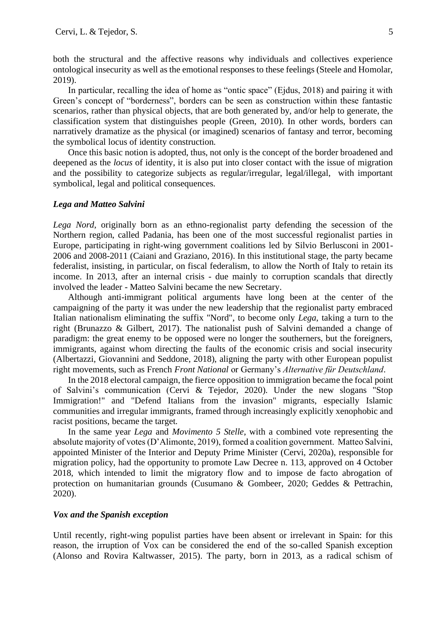both the structural and the affective reasons why individuals and collectives experience ontological insecurity as well as the emotional responses to these feelings (Steele and Homolar, 2019).

In particular, recalling the idea of home as "ontic space" (Ejdus, 2018) and pairing it with Green's concept of "borderness", borders can be seen as construction within these fantastic scenarios, rather than physical objects, that are both generated by, and/or help to generate, the classification system that distinguishes people (Green, 2010). In other words, borders can narratively dramatize as the physical (or imagined) scenarios of fantasy and terror, becoming the symbolical locus of identity construction.

Once this basic notion is adopted, thus, not only is the concept of the border broadened and deepened as the *locus* of identity, it is also put into closer contact with the issue of migration and the possibility to categorize subjects as regular/irregular, legal/illegal, with important symbolical, legal and political consequences.

## *Lega and Matteo Salvini*

*Lega Nord*, originally born as an ethno-regionalist party defending the secession of the Northern region, called Padania, has been one of the most successful regionalist parties in Europe, participating in right-wing government coalitions led by Silvio Berlusconi in 2001- 2006 and 2008-2011 (Caiani and Graziano, 2016). In this institutional stage, the party became federalist, insisting, in particular, on fiscal federalism, to allow the North of Italy to retain its income. In 2013, after an internal crisis - due mainly to corruption scandals that directly involved the leader - Matteo Salvini became the new Secretary.

Although anti-immigrant political arguments have long been at the center of the campaigning of the party it was under the new leadership that the regionalist party embraced Italian nationalism eliminating the suffix "Nord", to become only *Lega*, taking a turn to the right (Brunazzo & Gilbert, 2017). The nationalist push of Salvini demanded a change of paradigm: the great enemy to be opposed were no longer the southerners, but the foreigners, immigrants, against whom directing the faults of the economic crisis and social insecurity (Albertazzi, Giovannini and Seddone, 2018), aligning the party with other European populist right movements, such as French *Front National* or Germany's *Alternative für Deutschland*.

In the 2018 electoral campaign, the fierce opposition to immigration became the focal point of Salvini's communication (Cervi & Tejedor, 2020). Under the new slogans "Stop Immigration!" and "Defend Italians from the invasion" migrants, especially Islamic communities and irregular immigrants, framed through increasingly explicitly xenophobic and racist positions, became the target.

In the same year *Lega* and *Movimento 5 Stelle*, with a combined vote representing the absolute majority of votes (D'Alimonte, 2019), formed a coalition government. Matteo Salvini, appointed Minister of the Interior and Deputy Prime Minister (Cervi, 2020a), responsible for migration policy, had the opportunity to promote Law Decree n. 113, approved on 4 October 2018, which intended to limit the migratory flow and to impose de facto abrogation of protection on humanitarian grounds (Cusumano & Gombeer, 2020; Geddes & Pettrachin, 2020).

## *Vox and the Spanish exception*

Until recently, right-wing populist parties have been absent or irrelevant in Spain: for this reason, the irruption of Vox can be considered the end of the so-called Spanish exception (Alonso and Rovira Kaltwasser, 2015). The party, born in 2013, as a radical schism of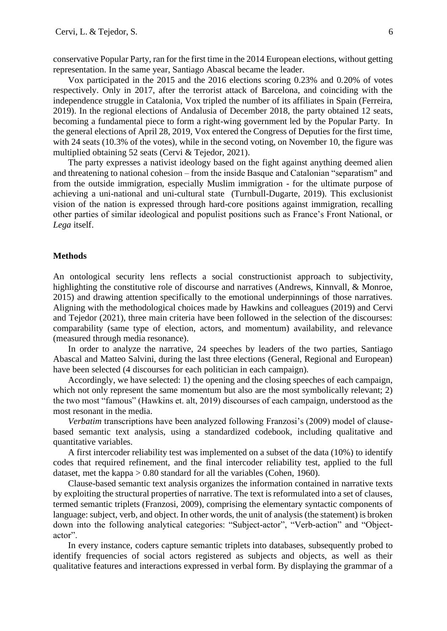conservative Popular Party, ran for the first time in the 2014 European elections, without getting representation. In the same year, Santiago Abascal became the leader.

Vox participated in the 2015 and the 2016 elections scoring 0.23% and 0.20% of votes respectively. Only in 2017, after the terrorist attack of Barcelona, and coinciding with the independence struggle in Catalonia, Vox tripled the number of its affiliates in Spain (Ferreira, 2019). In the regional elections of Andalusia of December 2018, the party obtained 12 seats, becoming a fundamental piece to form a right-wing government led by the Popular Party. In the general elections of April 28, 2019, Vox entered the Congress of Deputies for the first time, with 24 seats (10.3% of the votes), while in the second voting, on November 10, the figure was multiplied obtaining 52 seats (Cervi & Tejedor, 2021).

The party expresses a nativist ideology based on the fight against anything deemed alien and threatening to national cohesion – from the inside Basque and Catalonian "separatism" and from the outside immigration, especially Muslim immigration - for the ultimate purpose of achieving a uni-national and uni-cultural state (Turnbull-Dugarte, 2019). This exclusionist vision of the nation is expressed through hard-core positions against immigration, recalling other parties of similar ideological and populist positions such as France's Front National, or *Lega* itself.

## **Methods**

An ontological security lens reflects a social constructionist approach to subjectivity, highlighting the constitutive role of discourse and narratives (Andrews, Kinnvall, & Monroe, 2015) and drawing attention specifically to the emotional underpinnings of those narratives. Aligning with the methodological choices made by Hawkins and colleagues (2019) and Cervi and Tejedor (2021), three main criteria have been followed in the selection of the discourses: comparability (same type of election, actors, and momentum) availability, and relevance (measured through media resonance).

In order to analyze the narrative, 24 speeches by leaders of the two parties, Santiago Abascal and Matteo Salvini, during the last three elections (General, Regional and European) have been selected (4 discourses for each politician in each campaign).

Accordingly, we have selected: 1) the opening and the closing speeches of each campaign, which not only represent the same momentum but also are the most symbolically relevant; 2) the two most "famous" (Hawkins et. alt, 2019) discourses of each campaign, understood as the most resonant in the media.

*Verbatim* transcriptions have been analyzed following Franzosi's (2009) model of clausebased semantic text analysis, using a standardized codebook, including qualitative and quantitative variables.

A first intercoder reliability test was implemented on a subset of the data (10%) to identify codes that required refinement, and the final intercoder reliability test, applied to the full dataset, met the kappa  $> 0.80$  standard for all the variables (Cohen, 1960).

Clause-based semantic text analysis organizes the information contained in narrative texts by exploiting the structural properties of narrative. The text is reformulated into a set of clauses, termed semantic triplets (Franzosi, 2009), comprising the elementary syntactic components of language: subject, verb, and object. In other words, the unit of analysis (the statement) is broken down into the following analytical categories: "Subject-actor", "Verb-action" and "Objectactor".

In every instance, coders capture semantic triplets into databases, subsequently probed to identify frequencies of social actors registered as subjects and objects, as well as their qualitative features and interactions expressed in verbal form. By displaying the grammar of a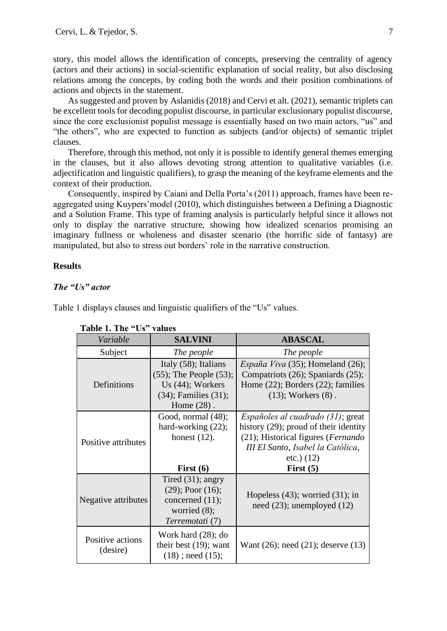story, this model allows the identification of concepts, preserving the centrality of agency (actors and their actions) in social-scientific explanation of social reality, but also disclosing relations among the concepts, by coding both the words and their position combinations of actions and objects in the statement.

As suggested and proven by Aslanidis (2018) and Cervi et alt. (2021), semantic triplets can be excellent tools for decoding populist discourse, in particular exclusionary populist discourse, since the core exclusionist populist message is essentially based on two main actors, "us" and "the others", who are expected to function as subjects (and/or objects) of semantic triplet clauses.

Therefore, through this method, not only it is possible to identify general themes emerging in the clauses, but it also allows devoting strong attention to qualitative variables (i.e. adjectification and linguistic qualifiers), to grasp the meaning of the keyframe elements and the context of their production.

Consequently, inspired by Caiani and Della Porta's (2011) approach, frames have been reaggregated using Kuypers'model (2010), which distinguishes between a Defining a Diagnostic and a Solution Frame. This type of framing analysis is particularly helpful since it allows not only to display the narrative structure, showing how idealized scenarios promising an imaginary fullness or wholeness and disaster scenario (the horrific side of fantasy) are manipulated, but also to stress out borders' role in the narrative construction.

## **Results**

## *The "Us" actor*

Table 1 displays clauses and linguistic qualifiers of the "Us" values.

| Variable                     | <b>SALVINI</b>                                                                                                             | <b>ABASCAL</b>                                                                                                                                                                                |
|------------------------------|----------------------------------------------------------------------------------------------------------------------------|-----------------------------------------------------------------------------------------------------------------------------------------------------------------------------------------------|
| Subject                      | The people                                                                                                                 | The people                                                                                                                                                                                    |
| Definitions                  | Italy (58); Italians<br>$(55)$ ; The People $(53)$ ;<br>Us $(44)$ ; Workers<br>$(34)$ ; Families $(31)$ ;<br>Home $(28)$ . | España Viva $(35)$ ; Homeland $(26)$ ;<br>Compatriots (26); Spaniards (25);<br>Home $(22)$ ; Borders $(22)$ ; families<br>$(13)$ ; Workers $(8)$ .                                            |
| Positive attributes          | Good, normal (48);<br>hard-working $(22)$ ;<br>honest $(12)$ .<br>First $(6)$                                              | <i>Españoles al cuadrado (31)</i> ; great<br>history (29); proud of their identity<br>(21); Historical figures (Fernando<br>III El Santo, Isabel la Católica,<br>$etc.$ ) (12)<br>First $(5)$ |
| Negative attributes          | Tired $(31)$ ; angry<br>$(29)$ ; Poor $(16)$ ;<br>concerned $(11)$ ;<br>worried $(8)$ ;<br>Terremotati (7)                 | Hopeless $(43)$ ; worried $(31)$ ; in<br>need $(23)$ ; unemployed $(12)$                                                                                                                      |
| Positive actions<br>(desire) | Work hard $(28)$ ; do<br>their best $(19)$ ; want<br>$(18)$ ; need $(15)$ ;                                                | Want $(26)$ ; need $(21)$ ; deserve $(13)$                                                                                                                                                    |

#### **Table 1. The "Us" values**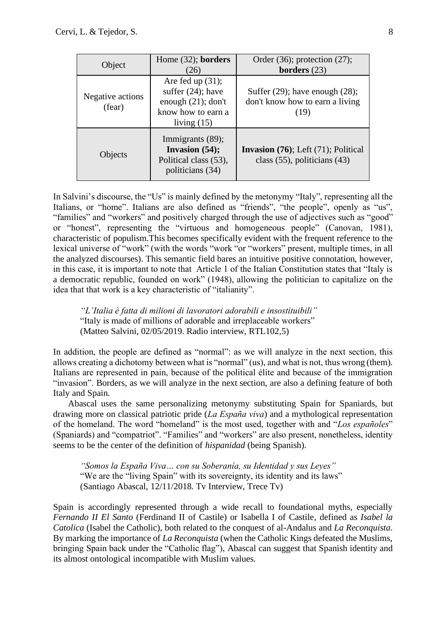| Object                     | Home $(32)$ ; borders<br>(26)                                                                               | Order $(36)$ ; protection $(27)$ ;<br>borders $(23)$                                  |
|----------------------------|-------------------------------------------------------------------------------------------------------------|---------------------------------------------------------------------------------------|
| Negative actions<br>(fear) | Are fed up $(31)$ ;<br>suffer $(24)$ ; have<br>enough $(21)$ ; don't<br>know how to earn a<br>living $(15)$ | Suffer $(29)$ ; have enough $(28)$ ;<br>don't know how to earn a living<br>(19)       |
| Objects                    | Immigrants (89);<br>Invasion $(54)$ ;<br>Political class (53),<br>politicians (34)                          | <b>Invasion</b> $(76)$ ; Left $(71)$ ; Political<br>class $(55)$ , politicians $(43)$ |

In Salvini's discourse, the "Us" is mainly defined by the metonymy "Italy", representing all the Italians, or "home". Italians are also defined as "friends", "the people", openly as "us", "families" and "workers" and positively charged through the use of adjectives such as "good" or "honest", representing the "virtuous and homogeneous people" (Canovan, 1981), characteristic of populism.This becomes specifically evident with the frequent reference to the lexical universe of "work" (with the words "work "or "workers" present, multiple times, in all the analyzed discourses). This semantic field bares an intuitive positive connotation, however, in this case, it is important to note that Article 1 of the Italian Constitution states that "Italy is a democratic republic, founded on work" (1948), allowing the politician to capitalize on the idea that that work is a key characteristic of "italianity".

*"L'Italia è fatta di milioni di lavoratori adorabili e insostituibili"* "Italy is made of millions of adorable and irreplaceable workers" (Matteo Salvini, 02/05/2019. Radio interview, RTL102,5)

In addition, the people are defined as "normal": as we will analyze in the next section, this allows creating a dichotomy between what is "normal" (us), and what is not, thus wrong (them). Italians are represented in pain, because of the political élite and because of the immigration "invasion". Borders, as we will analyze in the next section, are also a defining feature of both Italy and Spain.

Abascal uses the same personalizing metonymy substituting Spain for Spaniards, but drawing more on classical patriotic pride (*La España viva*) and a mythological representation of the homeland. The word "homeland" is the most used, together with and "*Los españoles*" (Spaniards) and "compatriot". "Families" and "workers" are also present, nonetheless, identity seems to be the center of the definition of *hispanidad* (being Spanish).

*"Somos la España Viva… con su Soberanía, su Identidad y sus Leyes"* "We are the "living Spain" with its sovereignty, its identity and its laws" (Santiago Abascal, 12/11/2018. Tv Interview, Trece Tv)

Spain is accordingly represented through a wide recall to foundational myths, especially *Fernando II El Santo* (Ferdinand II of Castile) or Isabella I of Castile, defined as *Isabel la Catolica* (Isabel the Catholic), both related to the conquest of al-Andalus and *La Reconquista*. By marking the importance of *La Reconquista* (when the Catholic Kings defeated the Muslims, bringing Spain back under the "Catholic flag"), Abascal can suggest that Spanish identity and its almost ontological incompatible with Muslim values.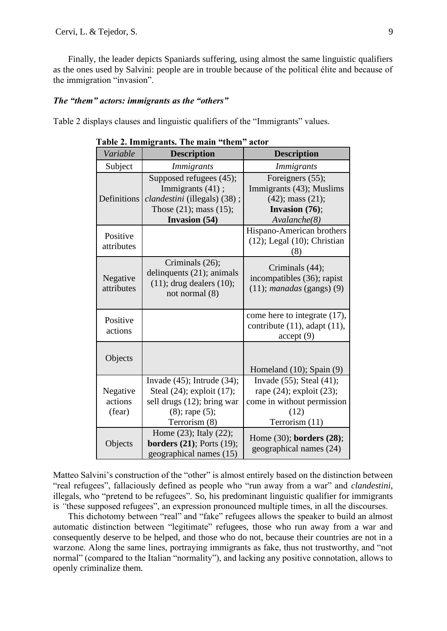Finally, the leader depicts Spaniards suffering, using almost the same linguistic qualifiers as the ones used by Salvini: people are in trouble because of the political élite and because of the immigration "invasion".

#### *The "them" actors: immigrants as the "others"*

Table 2 displays clauses and linguistic qualifiers of the "Immigrants" values.

| Variable                      | <b>Description</b>                                                                                                                   | <b>Description</b>                                                                                                         |
|-------------------------------|--------------------------------------------------------------------------------------------------------------------------------------|----------------------------------------------------------------------------------------------------------------------------|
| Subject                       | <i>Immigrants</i>                                                                                                                    | <i>Immigrants</i>                                                                                                          |
| Definitions                   | Supposed refugees (45);<br>Immigrants (41);<br>clandestini (illegals) (38);<br>Those $(21)$ ; mass $(15)$ ;<br><b>Invasion</b> (54)  | Foreigners (55);<br>Immigrants (43); Muslims<br>$(42)$ ; mass $(21)$ ;<br>Invasion (76);<br>Avalanche(8)                   |
| Positive<br>attributes        |                                                                                                                                      | Hispano-American brothers<br>$(12)$ ; Legal $(10)$ ; Christian<br>(8)                                                      |
| Negative<br>attributes        | Criminals (26);<br>delinquents (21); animals<br>$(11)$ ; drug dealers $(10)$ ;<br>not normal (8)                                     | Criminals (44);<br>incompatibles (36); rapist<br>$(11)$ ; <i>manadas</i> (gangs) $(9)$                                     |
| Positive<br>actions           |                                                                                                                                      | come here to integrate (17),<br>contribute $(11)$ , adapt $(11)$ ,<br>accept(9)                                            |
| Objects                       |                                                                                                                                      | Homeland (10); Spain (9)                                                                                                   |
| Negative<br>actions<br>(fear) | Invade $(45)$ ; Intrude $(34)$ ;<br>Steal (24); exploit (17);<br>sell drugs (12); bring war<br>$(8)$ ; rape $(5)$ ;<br>Terrorism (8) | Invade $(55)$ ; Steal $(41)$ ;<br>rape $(24)$ ; exploit $(23)$ ;<br>come in without permission<br>(12)<br>Terrorism $(11)$ |
| Objects                       | Home $(23)$ ; Italy $(22)$ ;<br><b>borders</b> (21); Ports (19);<br>geographical names (15)                                          | Home (30); borders (28);<br>geographical names (24)                                                                        |

 **Table 2. Immigrants. The main "them" actor**

Matteo Salvini's construction of the "other" is almost entirely based on the distinction between "real refugees", fallaciously defined as people who "run away from a war" and *clandestini*, illegals, who "pretend to be refugees". So, his predominant linguistic qualifier for immigrants is *"*these supposed refugees", an expression pronounced multiple times, in all the discourses.

This dichotomy between "real" and "fake" refugees allows the speaker to build an almost automatic distinction between "legitimate" refugees, those who run away from a war and consequently deserve to be helped, and those who do not, because their countries are not in a warzone. Along the same lines, portraying immigrants as fake, thus not trustworthy, and "not normal" (compared to the Italian "normality"), and lacking any positive connotation, allows to openly criminalize them.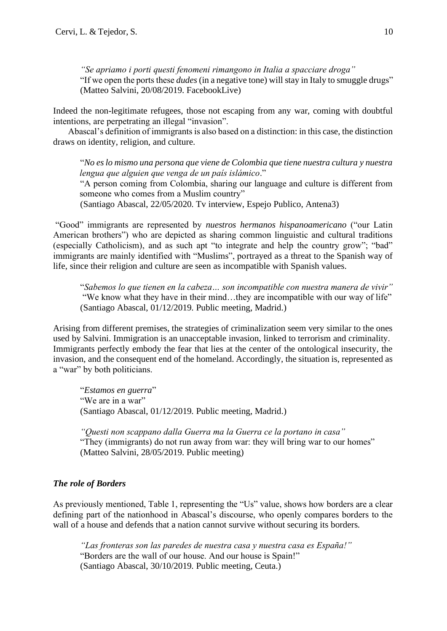*"Se apriamo i porti questi fenomeni rimangono in Italia a spacciare droga"* "If we open the ports these *dudes* (in a negative tone) will stay in Italy to smuggle drugs" (Matteo Salvini, 20/08/2019. FacebookLive)

Indeed the non-legitimate refugees, those not escaping from any war, coming with doubtful intentions, are perpetrating an illegal "invasion".

Abascal's definition of immigrants is also based on a distinction: in this case, the distinction draws on identity, religion, and culture.

"*No es lo mismo una persona que viene de Colombia que tiene nuestra cultura y nuestra lengua que alguien que venga de un país islámico*."

"A person coming from Colombia, sharing our language and culture is different from someone who comes from a Muslim country"

(Santiago Abascal, 22/05/2020. Tv interview, Espejo Publico, Antena3)

"Good" immigrants are represented by *nuestros hermanos hispanoamericano* ("our Latin American brothers") who are depicted as sharing common linguistic and cultural traditions (especially Catholicism), and as such apt "to integrate and help the country grow"; "bad" immigrants are mainly identified with "Muslims", portrayed as a threat to the Spanish way of life, since their religion and culture are seen as incompatible with Spanish values.

"*Sabemos lo que tienen en la cabeza… son incompatible con nuestra manera de vivir"* "We know what they have in their mind…they are incompatible with our way of life" (Santiago Abascal, 01/12/2019. Public meeting, Madrid.)

Arising from different premises, the strategies of criminalization seem very similar to the ones used by Salvini. Immigration is an unacceptable invasion, linked to terrorism and criminality. Immigrants perfectly embody the fear that lies at the center of the ontological insecurity, the invasion, and the consequent end of the homeland. Accordingly, the situation is, represented as a "war" by both politicians.

"*Estamos en guerra*" "We are in a war" (Santiago Abascal, 01/12/2019. Public meeting, Madrid.)

*"Questi non scappano dalla Guerra ma la Guerra ce la portano in casa"* "They (immigrants) do not run away from war: they will bring war to our homes" (Matteo Salvini, 28/05/2019. Public meeting)

# *The role of Borders*

As previously mentioned, Table 1, representing the "Us" value, shows how borders are a clear defining part of the nationhood in Abascal's discourse, who openly compares borders to the wall of a house and defends that a nation cannot survive without securing its borders.

*"Las fronteras son las paredes de nuestra casa y nuestra casa es España!"* "Borders are the wall of our house. And our house is Spain!" (Santiago Abascal, 30/10/2019. Public meeting, Ceuta.)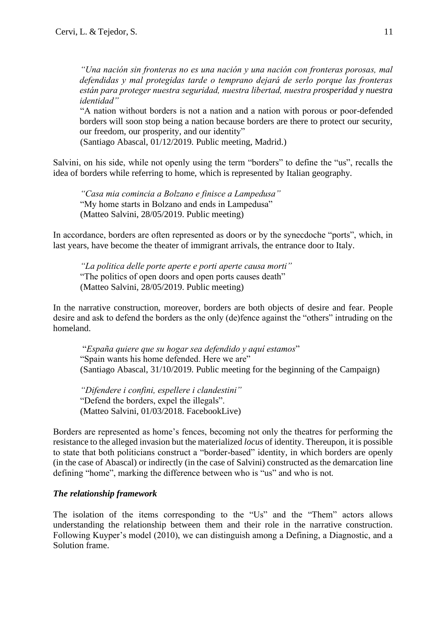*"Una nación sin fronteras no es una nación y una nación con fronteras porosas, mal defendidas y mal protegidas tarde o temprano dejará de serlo porque las fronteras están para proteger nuestra seguridad, nuestra libertad, nuestra prosperidad y nuestra identidad"*

"A nation without borders is not a nation and a nation with porous or poor-defended borders will soon stop being a nation because borders are there to protect our security, our freedom, our prosperity, and our identity"

(Santiago Abascal, 01/12/2019. Public meeting, Madrid.)

Salvini, on his side, while not openly using the term "borders" to define the "us", recalls the idea of borders while referring to home, which is represented by Italian geography.

*"Casa mia comincia a Bolzano e finisce a Lampedusa"* "My home starts in Bolzano and ends in Lampedusa" (Matteo Salvini, 28/05/2019. Public meeting)

In accordance, borders are often represented as doors or by the synecdoche "ports", which, in last years, have become the theater of immigrant arrivals, the entrance door to Italy.

*"La politica delle porte aperte e porti aperte causa morti"* "The politics of open doors and open ports causes death" (Matteo Salvini, 28/05/2019. Public meeting)

In the narrative construction, moreover, borders are both objects of desire and fear. People desire and ask to defend the borders as the only (de)fence against the "others" intruding on the homeland.

"*España quiere que su hogar sea defendido y aquí estamos*" "Spain wants his home defended. Here we are" (Santiago Abascal, 31/10/2019. Public meeting for the beginning of the Campaign)

*"Difendere i confini, espellere i clandestini"* "Defend the borders, expel the illegals". (Matteo Salvini, 01/03/2018. FacebookLive)

Borders are represented as home's fences, becoming not only the theatres for performing the resistance to the alleged invasion but the materialized *locus* of identity. Thereupon, it is possible to state that both politicians construct a "border-based" identity, in which borders are openly (in the case of Abascal) or indirectly (in the case of Salvini) constructed as the demarcation line defining "home", marking the difference between who is "us" and who is not.

## *The relationship framework*

The isolation of the items corresponding to the "Us" and the "Them" actors allows understanding the relationship between them and their role in the narrative construction. Following Kuyper's model (2010), we can distinguish among a Defining, a Diagnostic, and a Solution frame.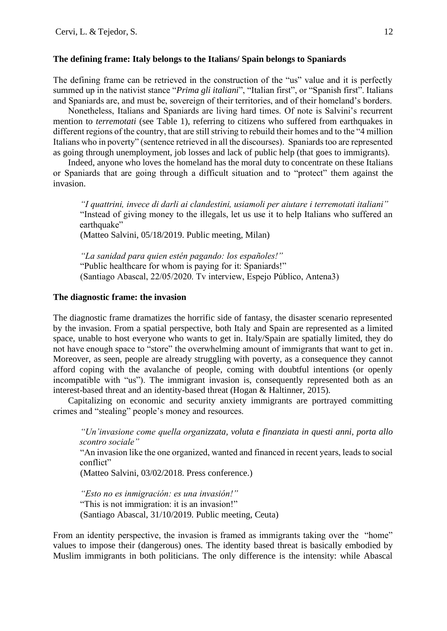## **The defining frame: Italy belongs to the Italians/ Spain belongs to Spaniards**

The defining frame can be retrieved in the construction of the "us" value and it is perfectly summed up in the nativist stance "*Prima gli italiani*", "Italian first", or "Spanish first". Italians and Spaniards are, and must be, sovereign of their territories, and of their homeland's borders.

Nonetheless, Italians and Spaniards are living hard times. Of note is Salvini's recurrent mention to *terremotati* (see Table 1), referring to citizens who suffered from earthquakes in different regions of the country, that are still striving to rebuild their homes and to the "4 million Italians who in poverty" (sentence retrieved in all the discourses). Spaniards too are represented as going through unemployment, job losses and lack of public help (that goes to immigrants).

Indeed, anyone who loves the homeland has the moral duty to concentrate on these Italians or Spaniards that are going through a difficult situation and to "protect" them against the invasion.

*"I quattrini, invece di darli ai clandestini, usiamoli per aiutare i terremotati italiani"* "Instead of giving money to the illegals, let us use it to help Italians who suffered an earthquake"

(Matteo Salvini, 05/18/2019. Public meeting, Milan)

*"La sanidad para quien estén pagando: los españoles!"* "Public healthcare for whom is paying for it: Spaniards!" (Santiago Abascal, 22/05/2020. Tv interview, Espejo Público, Antena3)

## **The diagnostic frame: the invasion**

The diagnostic frame dramatizes the horrific side of fantasy, the disaster scenario represented by the invasion. From a spatial perspective, both Italy and Spain are represented as a limited space, unable to host everyone who wants to get in. Italy/Spain are spatially limited, they do not have enough space to "store" the overwhelming amount of immigrants that want to get in. Moreover, as seen, people are already struggling with poverty, as a consequence they cannot afford coping with the avalanche of people, coming with doubtful intentions (or openly incompatible with "us"). The immigrant invasion is, consequently represented both as an interest-based threat and an identity-based threat (Hogan & Haltinner, 2015).

Capitalizing on economic and security anxiety immigrants are portrayed committing crimes and "stealing" people's money and resources.

*"Un'invasione come quella organizzata, voluta e finanziata in questi anni, porta allo scontro sociale"*

"An invasion like the one organized, wanted and financed in recent years, leads to social conflict"

(Matteo Salvini, 03/02/2018. Press conference.)

*"Esto no es inmigración: es una invasión!"* "This is not immigration: it is an invasion!" (Santiago Abascal, 31/10/2019. Public meeting, Ceuta)

From an identity perspective, the invasion is framed as immigrants taking over the "home" values to impose their (dangerous) ones. The identity based threat is basically embodied by Muslim immigrants in both politicians. The only difference is the intensity: while Abascal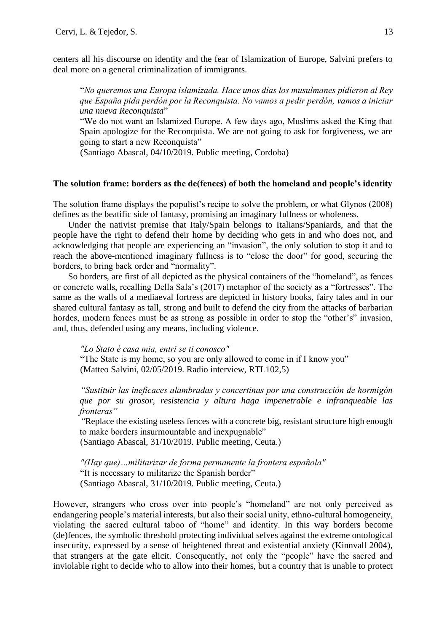centers all his discourse on identity and the fear of Islamization of Europe, Salvini prefers to deal more on a general criminalization of immigrants.

"*No queremos una Europa islamizada. Hace unos días los musulmanes pidieron al Rey que España pida perdón por la Reconquista. No vamos a pedir perdón, vamos a iniciar una nueva Reconquista*"

"We do not want an Islamized Europe. A few days ago, Muslims asked the King that Spain apologize for the Reconquista. We are not going to ask for forgiveness, we are going to start a new Reconquista"

(Santiago Abascal, 04/10/2019. Public meeting, Cordoba)

## **The solution frame: borders as the de(fences) of both the homeland and people's identity**

The solution frame displays the populist's recipe to solve the problem, or what Glynos (2008) defines as the beatific side of fantasy, promising an imaginary fullness or wholeness.

Under the nativist premise that Italy/Spain belongs to Italians/Spaniards, and that the people have the right to defend their home by deciding who gets in and who does not, and acknowledging that people are experiencing an "invasion", the only solution to stop it and to reach the above-mentioned imaginary fullness is to "close the door" for good, securing the borders, to bring back order and "normality".

So borders, are first of all depicted as the physical containers of the "homeland", as fences or concrete walls, recalling Della Sala's (2017) metaphor of the society as a "fortresses". The same as the walls of a mediaeval fortress are depicted in history books, fairy tales and in our shared cultural fantasy as tall, strong and built to defend the city from the attacks of barbarian hordes, modern fences must be as strong as possible in order to stop the "other's" invasion, and, thus, defended using any means, including violence.

*"Lo Stato è casa mia, entri se ti conosco"*

"The State is my home, so you are only allowed to come in if I know you" (Matteo Salvini, 02/05/2019. Radio interview, RTL102,5)

*"Sustituir las ineficaces alambradas y concertinas por una construcción de hormigón que por su grosor, resistencia y altura haga impenetrable e infranqueable las fronteras"*

*"*Replace the existing useless fences with a concrete big, resistant structure high enough to make borders insurmountable and inexpugnable"

(Santiago Abascal, 31/10/2019. Public meeting, Ceuta.)

*"(Hay que)…militarizar de forma permanente la frontera española"* "It is necessary to militarize the Spanish border" (Santiago Abascal, 31/10/2019. Public meeting, Ceuta.)

However, strangers who cross over into people's "homeland" are not only perceived as endangering people's material interests, but also their social unity, ethno-cultural homogeneity, violating the sacred cultural taboo of "home" and identity. In this way borders become (de)fences, the symbolic threshold protecting individual selves against the extreme ontological insecurity, expressed by a sense of heightened threat and existential anxiety (Kinnvall 2004), that strangers at the gate elicit. Consequently, not only the "people" have the sacred and inviolable right to decide who to allow into their homes, but a country that is unable to protect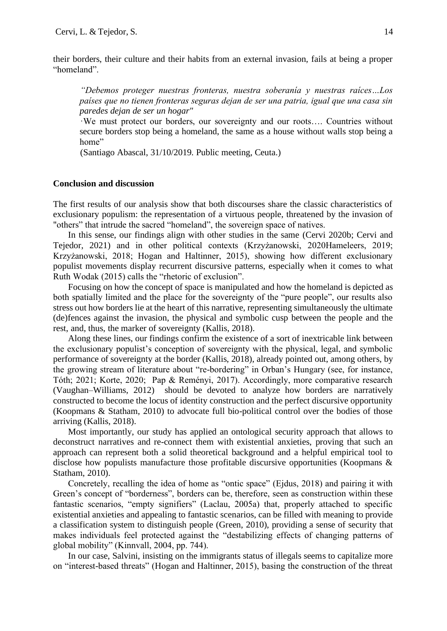their borders, their culture and their habits from an external invasion, fails at being a proper "homeland".

*"Debemos proteger nuestras fronteras, nuestra soberanía y nuestras raíces…Los países que no tienen fronteras seguras dejan de ser una patria, igual que una casa sin paredes dejan de ser un hogar"*

·We must protect our borders, our sovereignty and our roots…. Countries without secure borders stop being a homeland, the same as a house without walls stop being a home"

(Santiago Abascal, 31/10/2019. Public meeting, Ceuta.)

## **Conclusion and discussion**

The first results of our analysis show that both discourses share the classic characteristics of exclusionary populism: the representation of a virtuous people, threatened by the invasion of "others" that intrude the sacred "homeland", the sovereign space of natives.

In this sense, our findings align with other studies in the same (Cervi 2020b; Cervi and Tejedor, 2021) and in other political contexts (Krzyżanowski, 2020Hameleers, 2019; Krzyżanowski, 2018; Hogan and Haltinner, 2015), showing how different exclusionary populist movements display recurrent discursive patterns, especially when it comes to what Ruth Wodak (2015) calls the "rhetoric of exclusion".

Focusing on how the concept of space is manipulated and how the homeland is depicted as both spatially limited and the place for the sovereignty of the "pure people", our results also stress out how borders lie at the heart of this narrative, representing simultaneously the ultimate (de)fences against the invasion, the physical and symbolic cusp between the people and the rest, and, thus, the marker of sovereignty (Kallis, 2018).

Along these lines, our findings confirm the existence of a sort of inextricable link between the exclusionary populist's conception of sovereignty with the physical, legal, and symbolic performance of sovereignty at the border (Kallis, 2018), already pointed out, among others, by the growing stream of literature about "re-bordering" in Orban's Hungary (see, for instance, Tóth; 2021; Korte, 2020; Pap & Reményi, 2017). Accordingly, more comparative research (Vaughan–Williams, 2012) should be devoted to analyze how borders are narratively constructed to become the locus of identity construction and the perfect discursive opportunity (Koopmans & Statham, 2010) to advocate full bio-political control over the bodies of those arriving (Kallis, 2018).

Most importantly, our study has applied an ontological security approach that allows to deconstruct narratives and re-connect them with existential anxieties, proving that such an approach can represent both a solid theoretical background and a helpful empirical tool to disclose how populists manufacture those profitable discursive opportunities (Koopmans & Statham, 2010).

Concretely, recalling the idea of home as "ontic space" (Ejdus, 2018) and pairing it with Green's concept of "borderness", borders can be, therefore, seen as construction within these fantastic scenarios, "empty signifiers" (Laclau, 2005a) that, properly attached to specific existential anxieties and appealing to fantastic scenarios, can be filled with meaning to provide a classification system to distinguish people (Green, 2010), providing a sense of security that makes individuals feel protected against the "destabilizing effects of changing patterns of global mobility" (Kinnvall, 2004, pp. 744).

In our case, Salvini, insisting on the immigrants status of illegals seems to capitalize more on "interest-based threats" (Hogan and Haltinner, 2015), basing the construction of the threat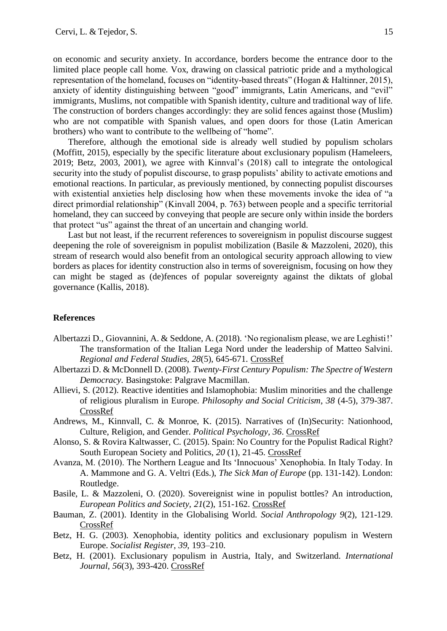on economic and security anxiety. In accordance, borders become the entrance door to the limited place people call home. Vox, drawing on classical patriotic pride and a mythological representation of the homeland, focuses on "identity-based threats" (Hogan & Haltinner, 2015), anxiety of identity distinguishing between "good" immigrants, Latin Americans, and "evil" immigrants, Muslims, not compatible with Spanish identity, culture and traditional way of life. The construction of borders changes accordingly: they are solid fences against those (Muslim) who are not compatible with Spanish values, and open doors for those (Latin American brothers) who want to contribute to the wellbeing of "home".

Therefore, although the emotional side is already well studied by populism scholars (Moffitt, 2015), especially by the specific literature about exclusionary populism (Hameleers, 2019; Betz, 2003, 2001), we agree with Kinnval's (2018) call to integrate the ontological security into the study of populist discourse, to grasp populists' ability to activate emotions and emotional reactions. In particular, as previously mentioned, by connecting populist discourses with existential anxieties help disclosing how when these movements invoke the idea of "a direct primordial relationship" (Kinvall 2004, p. 763) between people and a specific territorial homeland, they can succeed by conveying that people are secure only within inside the borders that protect "us" against the threat of an uncertain and changing world.

Last but not least, if the recurrent references to sovereignism in populist discourse suggest deepening the role of sovereignism in populist mobilization (Basile & Mazzoleni, 2020), this stream of research would also benefit from an ontological security approach allowing to view borders as places for identity construction also in terms of sovereignism, focusing on how they can might be staged as (de)fences of popular sovereignty against the diktats of global governance (Kallis, 2018).

## **References**

- Albertazzi D., Giovannini, A. & Seddone, A. (2018). 'No regionalism please, we are Leghisti !' The transformation of the Italian Lega Nord under the leadership of Matteo Salvini. *Regional and Federal Studies, 28*(5), 645-671. [CrossRef](https://doi.org/10.1080/13597566.2018.1512977)
- Albertazzi D. & McDonnell D. (2008). *Twenty-First Century Populism: The Spectre of Western Democracy*. Basingstoke: Palgrave Macmillan.
- Allievi, S. (2012). Reactive identities and Islamophobia: Muslim minorities and the challenge of religious pluralism in Europe. *Philosophy and Social Criticism*, *38* (4-5), 379-387. [CrossRef](https://doi.org/10.1177/0191453712444423)
- Andrews, M., Kinnvall, C. & Monroe, K. (2015). Narratives of (In)Security: Nationhood, Culture, Religion, and Gender. *Political Psychology, 36*. [CrossRef](https://doi.org/10.1111/pops.12224)
- Alonso, S. & Rovira Kaltwasser, C. (2015). Spain: No Country for the Populist Radical Right? South European Society and Politics, *20* (1), 21-45. [CrossRef](https://doi.org/10.1080/13608746.2014.985448)
- Avanza, M. (2010). The Northern League and Its 'Innocuous' Xenophobia. In Italy Today. In A. Mammone and G. A. Veltri (Eds.), *The Sick Man of Europe* (pp. 131-142). London: Routledge.
- Basile, L. & Mazzoleni, O. (2020). Sovereignist wine in populist bottles? An introduction, *European Politics and Society, 21*(2), 151-162. [CrossRef](https://doi.org/10.1080/23745118.2019.1632576)
- Bauman, Z. (2001). Identity in the Globalising World. *Social Anthropology 9*(2), 121-129. [CrossRef](https://doi.org/10.1017/S096402820100009X)
- Betz, H. G. (2003). Xenophobia, identity politics and exclusionary populism in Western Europe. *Socialist Register, 39*, 193–210.
- Betz, H. (2001). Exclusionary populism in Austria, Italy, and Switzerland. *International Journal, 56*(3), 393-420. [CrossRef](https://doi.org/10.1177/002070200105600302)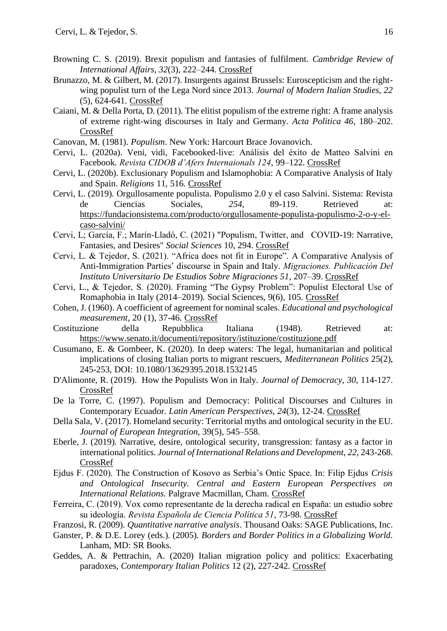- Browning C. S. (2019). Brexit populism and fantasies of fulfilment. *Cambridge Review of International Affairs, 32*(3), 222–244. [CrossRef](https://doi.org/10.1080/09557571.2019.1567461)
- Brunazzo, M. & Gilbert, M. (2017). Insurgents against Brussels: Euroscepticism and the rightwing populist turn of the Lega Nord since 2013. *Journal of Modern Italian Studies, 22* (5), 624-641. [CrossRef](https://doi.org/10.1080/1354571X.2017.1389524)
- Caiani, M. & Della Porta, D. (2011). The elitist populism of the extreme right: A frame analysis of extreme right-wing discourses in Italy and Germany. *Acta Politica 46*, 180–202. [CrossRef](https://doi.org/10.1057/ap.2010.28)
- Canovan, M. (1981). *Populism*. New York: Harcourt Brace Jovanovich.
- Cervi, L. (2020a). Veni, vidi, Facebooked-live: Análisis del éxito de Matteo Salvini en Facebook. *Revista CIDOB d'Afers Internaionals 124*, 99–122. [CrossRef](http://dx.doi.org/10.24241/rcai.2020.124.1.99)
- Cervi, L. (2020b). Exclusionary Populism and Islamophobia: A Comparative Analysis of Italy and Spain. *Religions* 11, 516. [CrossRef](http://dx.doi.org/10.3390/rel11100516)
- Cervi, L. (2019). Orgullosamente populista. Populismo 2.0 y el caso Salvini. Sistema: Revista de Ciencias Sociales, *254*, 89-119. Retrieved at: [https://fundacionsistema.com/producto/orgullosamente-populista-populismo-2-o-y-el](https://fundacionsistema.com/producto/orgullosamente-populista-populismo-2-o-y-el-caso-salvini/)[caso-salvini/](https://fundacionsistema.com/producto/orgullosamente-populista-populismo-2-o-y-el-caso-salvini/)
- Cervi, L; García, F.; Marín-Lladó, C. (2021) "Populism, Twitter, and COVID-19: Narrative, Fantasies, and Desires" *Social Sciences* 10, 294. [CrossRef](http://dx.doi.org/10.3390/socsci10080294)
- Cervi, L. & Tejedor, S. (2021). "Africa does not fit in Europe". A Comparative Analysis of Anti-Immigration Parties' discourse in Spain and Italy. *Migraciones. Publicación Del Instituto Universitario De Estudios Sobre Migraciones 51*, 207–39. [CrossRef](http://dx.doi.org/10.14422/mig.i51y2021.008)
- Cervi, L., & Tejedor, S. (2020). Framing "The Gypsy Problem": Populist Electoral Use of Romaphobia in Italy (2014–2019). Social Sciences, 9(6), 105. [CrossRef](http://dx.doi.org/10.3390/socsci9060105)
- Cohen, J. (1960). A coefficient of agreement for nominal scales. *Educational and psychological measurement*, 20 (1), 37-46. [CrossRef](http://dx.doi.org/10.1177/001316446002000104)
- Costituzione della Repubblica Italiana (1948). Retrieved at: <https://www.senato.it/documenti/repository/istituzione/costituzione.pdf>
- Cusumano, E. & Gombeer, K. (2020). In deep waters: The legal, humanitarian and political implications of closing Italian ports to migrant rescuers, *Mediterranean Politics* 25(2), 245-253, DOI: 10.1080/13629395.2018.1532145
- D'Alimonte, R. (2019). How the Populists Won in Italy. *Journal of Democracy, 30*, 114-127. [CrossRef](file:///C:/Documentos/articoli/SALVINI/contemporary%20social%20sc/KOME/10.1353/jod.2019.0009)
- De la Torre, C. (1997). Populism and Democracy: Political Discourses and Cultures in Contemporary Ecuador. *Latin American Perspectives, 24*(3), 12-24. [CrossRef](file:///C:/Documentos/articoli/SALVINI/contemporary%20social%20sc/KOME/Populism%20and%20Democracy:%20Political%20Discourses%20and%20Cultures%20in%20Contemporary%20Ecuador)
- Della Sala, V. (2017). Homeland security: Territorial myths and ontological security in the EU. *Journal of European Integration*, 39(5), 545–558.
- Eberle, J. (2019). Narrative, desire, ontological security, transgression: fantasy as a factor in internati[ona](https://doi.org/10.1057/s41268-017-0104-2)l politics. *Journal of International Relations and Development, 22*, 243-268. [CrossRef](https://doi.org/10.1057/s41268-017-0104-2)
- Ejdus F. (2020). The Construction of Kosovo as Serbia's Ontic Space. In: Filip Ejdus *Crisis and Ontological Insecurity. Central and Eastern European Perspectives on International Relations.* Palgrave Macmillan, Cham. [CrossRef](file:///C:/Documentos/articoli/SALVINI/contemporary%20social%20sc/KOME/10.1007/978-3-030-20667-3_3)
- Ferreira, C. (2019). Vox como representante de la derecha radical en España: un estudio sobre su ideología. *Revista Española de Ciencia Política 51*, 73-98. [CrossRef](https://doi.org/10.21308/recp.51.03)
- Franzosi, R. (2009). *Quantitative narrative analysis*. Thousand Oaks: SAGE Publications, Inc.
- Ganster, P. & D.E. Lorey (eds.). (2005). *Borders and Border Politics in a Globalizing World*. Lanham, MD: SR Books.
- Geddes, A. & Pettrachin, A. (2020) Italian migration policy and politics: Exacerbating paradoxes, *Contemporary Italian Politics* 12 (2), 227-242. [CrossRef](http://dx.doi.org/10.1080/23248823.2020.1744918)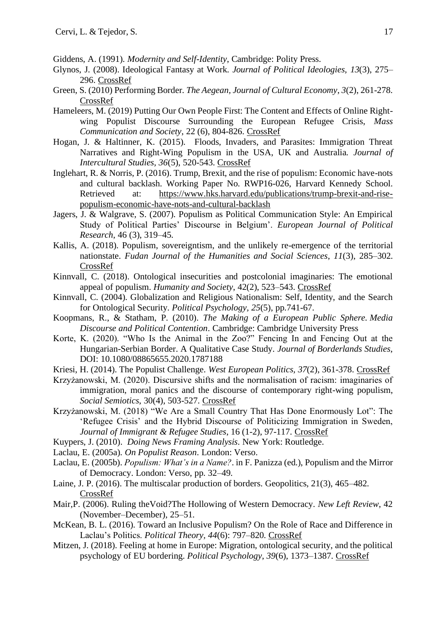- Giddens, A. (1991). *Modernity and Self-Identity*, Cambridge: Polity Press.
- Glynos, J. (2008). Ideological Fantasy at Work. *Journal of Political Ideologies, 13*(3), 275– 296. [CrossRef](https://doi.org/10.1080/13569310802376961)
- Green, S. (2010) Performing Border. *The Aegean, Journal of Cultural Economy*, *3*(2), 261-278. [CrossRef](https://doi.org/10.1080/17530350.2010.494376)
- Hameleers, M. (2019) Putting Our Own People First: The Content and Effects of Online Rightwing Populist Discourse Surrounding the European Refugee Crisis, *Mass Communication and Society*, 22 (6), 804-826. [CrossRef](http://dx.doi.org/10.1080/15205436.2019.1655768)
- Hogan, J. & Haltinner, K. (2015). Floods, Invaders, and Parasites: Immigration Threat Narratives and Right-Wing Populism in the USA, UK and Australia. *Journal of Intercultural Studies, 36*(5), 520-543. [CrossRef](https://doi.org/10.1080/07256868.2015.1072907)
- Inglehart, R. & Norris, P. (2016). Trump, Brexit, and the rise of populism: Economic have-nots and cultural backlash. Working Paper No. RWP16-026, Harvard Kennedy School. Retrieved at: [https://www.hks.harvard.edu/publications/trump-brexit-and-rise](https://www.hks.harvard.edu/publications/trump-brexit-and-rise-populism-economic-have-nots-and-cultural-backlash)[populism-economic-have-nots-and-cultural-backlash](https://www.hks.harvard.edu/publications/trump-brexit-and-rise-populism-economic-have-nots-and-cultural-backlash)
- Jagers, J. & Walgrave, S. (2007). Populism as Political Communication Style: An Empirical Study of Political Parties' Discourse in Belgium'. *European Journal of Political Research*, 46 (3), 319–45.
- Kallis, A. (2018). Populism, sovereigntism, and the unlikely re-emergence of the territorial nationstate. *Fudan Journal of the Humanities and Social Sciences*, *11*(3), 285–302. [CrossRef](file:///C:/Documentos/articoli/SALVINI/contemporary%20social%20sc/KOME/10.1007/s40647-018-0233-z)
- Kinnvall, C. (2018). Ontological insecurities and postcolonial imaginaries: The emotional appeal of populism. *Humanity and Society*, 42(2), 523–543. [CrossRef](http://dx.doi.org/10.1177/0160597618802646)
- Kinnvall, C. (2004). Globalization and Religious Nationalism: Self, Identity, and the Search for Ontological Security. *Political Psychology, 25*(5), pp.741-67.
- Koopmans, R., & Statham, P. (2010). *The Making of a European Public Sphere. Media Discourse and Political Contention*. Cambridge: Cambridge University Press
- Korte, K. (2020). "Who Is the Animal in the Zoo?" Fencing In and Fencing Out at the Hungarian-Serbian Border. A Qualitative Case Study. *Journal of Borderlands Studies*, DOI: 10.1080/08865655.2020.1787188
- Kriesi, H. (2014). The Populist Challenge. *West European Politics, 37*(2), 361-378. [CrossRef](https://doi.org/10.1080/01402382.2014.887879)
- Krzyżanowski, M. (2020). Discursive shifts and the normalisation of racism: imaginaries of immigration, moral panics and the discourse of contemporary right-wing populism, *Social Semiotics*, 30(4), 503-527. [CrossRef](http://dx.doi.org/10.1080/10350330.2020.1766199)
- Krzyżanowski, M. (2018) "We Are a Small Country That Has Done Enormously Lot": The 'Refugee Crisis' and the Hybrid Discourse of Politicizing Immigration in Sweden, *Journal of Immigrant & Refugee Studies*, 16 (1-2), 97-117. [CrossRef](http://dx.doi.org/10.1080/15562948.2017.1317895)
- Kuypers, J. (2010). *Doing News Framing Analysis*. New York: Routledge.
- Laclau, E. (2005a). *On Populist Reason*. London: Verso.
- Laclau, E. (2005b). *Populism: What's in a Name?*. in F. Panizza (ed.), Populism and the Mirror of Democracy. London: Verso, pp. 32–49.
- Laine, J. P. (2016). The multiscalar production of borders. Geopolitics, 21(3), 465–482. [CrossRef](http://dx.doi.org/10.1080/14650045.2016.1195132)
- Mair,P. (2006). Ruling theVoid?The Hollowing of Western Democracy. *New Left Review*, 42 (November–December), 25–51.
- McKean, B. L. (2016). Toward an Inclusive Populism? On the Role of Race and Difference in Laclau's Politics. *Political Theory, 44*(6): 797–820. [CrossRef](https://doi.org/10.1177/0090591716647771)
- Mitzen, J. (2018). Feeling at home in Europe: Migration, ontological security, and the political psychology of EU bordering. *Political Psychology*, *39*(6), 1373–1387. [CrossRef](https://doi.org/10.1111/pops.12553)